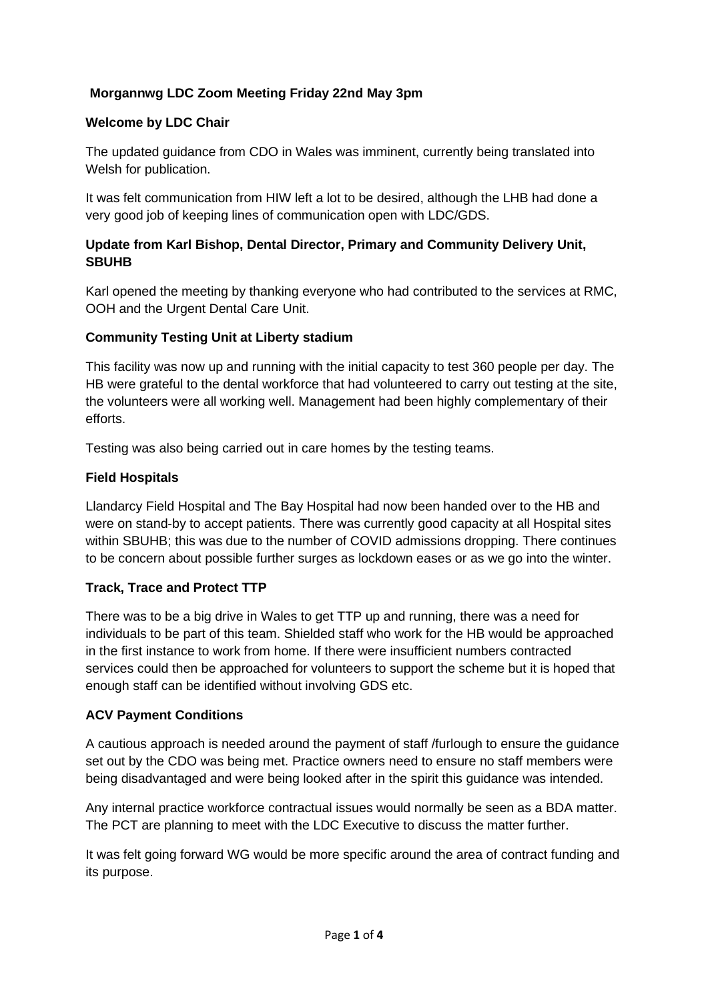# **Morgannwg LDC Zoom Meeting Friday 22nd May 3pm**

### **Welcome by LDC Chair**

The updated guidance from CDO in Wales was imminent, currently being translated into Welsh for publication.

It was felt communication from HIW left a lot to be desired, although the LHB had done a very good job of keeping lines of communication open with LDC/GDS.

## **Update from Karl Bishop, Dental Director, Primary and Community Delivery Unit, SBUHB**

Karl opened the meeting by thanking everyone who had contributed to the services at RMC, OOH and the Urgent Dental Care Unit.

### **Community Testing Unit at Liberty stadium**

This facility was now up and running with the initial capacity to test 360 people per day. The HB were grateful to the dental workforce that had volunteered to carry out testing at the site, the volunteers were all working well. Management had been highly complementary of their efforts.

Testing was also being carried out in care homes by the testing teams.

### **Field Hospitals**

Llandarcy Field Hospital and The Bay Hospital had now been handed over to the HB and were on stand-by to accept patients. There was currently good capacity at all Hospital sites within SBUHB; this was due to the number of COVID admissions dropping. There continues to be concern about possible further surges as lockdown eases or as we go into the winter.

#### **Track, Trace and Protect TTP**

There was to be a big drive in Wales to get TTP up and running, there was a need for individuals to be part of this team. Shielded staff who work for the HB would be approached in the first instance to work from home. If there were insufficient numbers contracted services could then be approached for volunteers to support the scheme but it is hoped that enough staff can be identified without involving GDS etc.

#### **ACV Payment Conditions**

A cautious approach is needed around the payment of staff /furlough to ensure the guidance set out by the CDO was being met. Practice owners need to ensure no staff members were being disadvantaged and were being looked after in the spirit this guidance was intended.

Any internal practice workforce contractual issues would normally be seen as a BDA matter. The PCT are planning to meet with the LDC Executive to discuss the matter further.

It was felt going forward WG would be more specific around the area of contract funding and its purpose.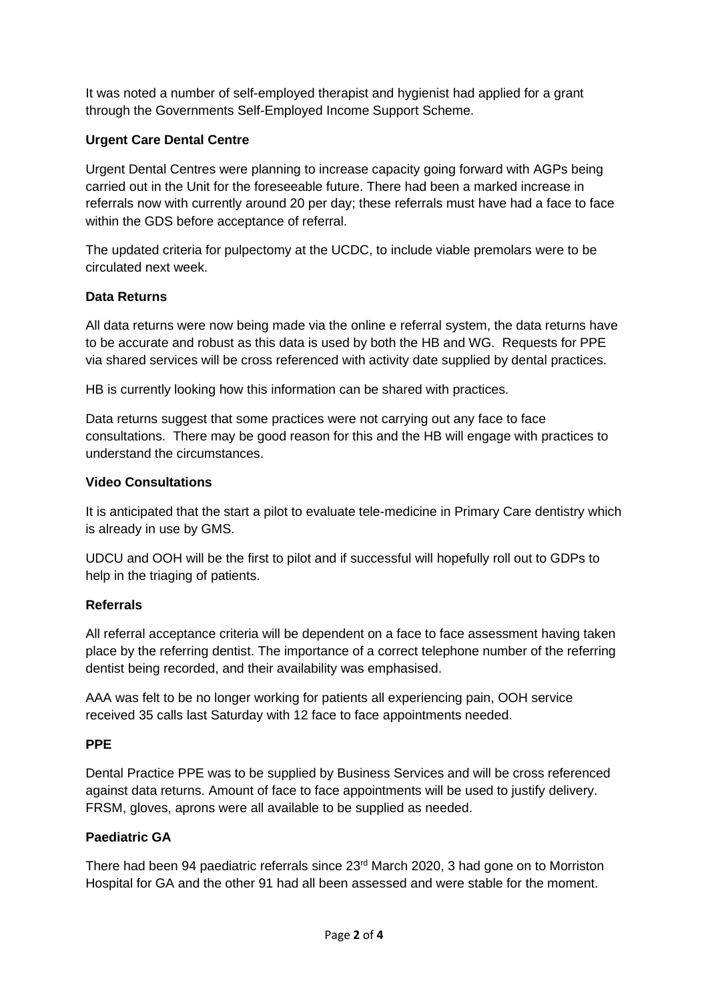It was noted a number of self-employed therapist and hygienist had applied for a grant through the Governments Self-Employed Income Support Scheme.

## **Urgent Care Dental Centre**

Urgent Dental Centres were planning to increase capacity going forward with AGPs being carried out in the Unit for the foreseeable future. There had been a marked increase in referrals now with currently around 20 per day; these referrals must have had a face to face within the GDS before acceptance of referral.

The updated criteria for pulpectomy at the UCDC, to include viable premolars were to be circulated next week.

### **Data Returns**

All data returns were now being made via the online e referral system, the data returns have to be accurate and robust as this data is used by both the HB and WG. Requests for PPE via shared services will be cross referenced with activity date supplied by dental practices.

HB is currently looking how this information can be shared with practices.

Data returns suggest that some practices were not carrying out any face to face consultations. There may be good reason for this and the HB will engage with practices to understand the circumstances.

### **Video Consultations**

It is anticipated that the start a pilot to evaluate tele-medicine in Primary Care dentistry which is already in use by GMS.

UDCU and OOH will be the first to pilot and if successful will hopefully roll out to GDPs to help in the triaging of patients.

## **Referrals**

All referral acceptance criteria will be dependent on a face to face assessment having taken place by the referring dentist. The importance of a correct telephone number of the referring dentist being recorded, and their availability was emphasised.

AAA was felt to be no longer working for patients all experiencing pain, OOH service received 35 calls last Saturday with 12 face to face appointments needed.

## **PPE**

Dental Practice PPE was to be supplied by Business Services and will be cross referenced against data returns. Amount of face to face appointments will be used to justify delivery. FRSM, gloves, aprons were all available to be supplied as needed.

## **Paediatric GA**

There had been 94 paediatric referrals since 23<sup>rd</sup> March 2020, 3 had gone on to Morriston Hospital for GA and the other 91 had all been assessed and were stable for the moment.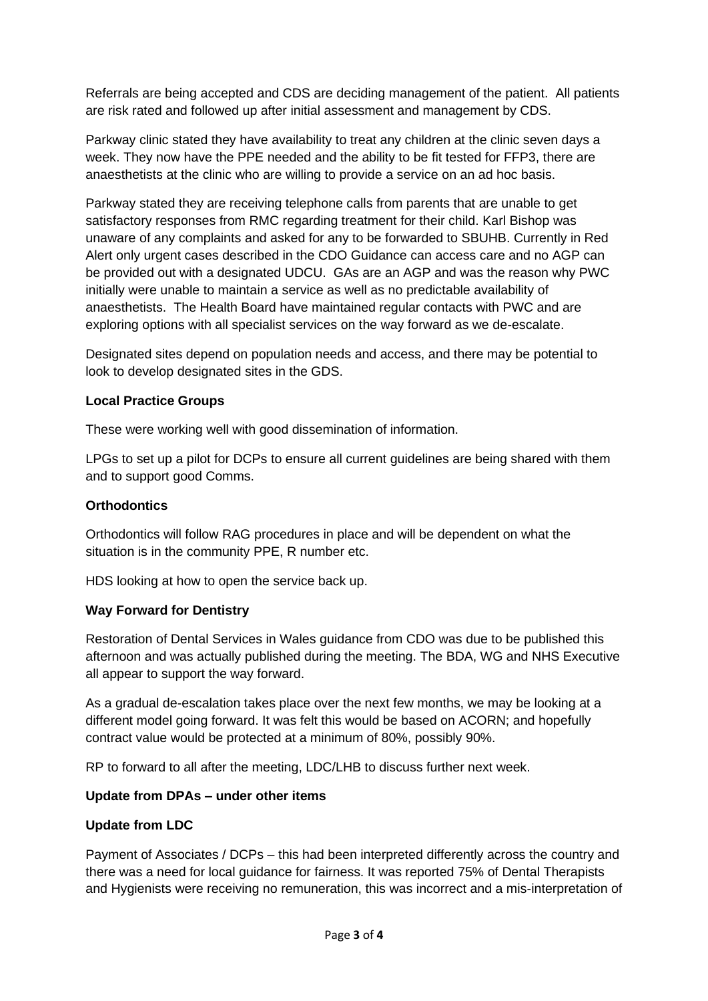Referrals are being accepted and CDS are deciding management of the patient. All patients are risk rated and followed up after initial assessment and management by CDS.

Parkway clinic stated they have availability to treat any children at the clinic seven days a week. They now have the PPE needed and the ability to be fit tested for FFP3, there are anaesthetists at the clinic who are willing to provide a service on an ad hoc basis.

Parkway stated they are receiving telephone calls from parents that are unable to get satisfactory responses from RMC regarding treatment for their child. Karl Bishop was unaware of any complaints and asked for any to be forwarded to SBUHB. Currently in Red Alert only urgent cases described in the CDO Guidance can access care and no AGP can be provided out with a designated UDCU. GAs are an AGP and was the reason why PWC initially were unable to maintain a service as well as no predictable availability of anaesthetists. The Health Board have maintained regular contacts with PWC and are exploring options with all specialist services on the way forward as we de-escalate.

Designated sites depend on population needs and access, and there may be potential to look to develop designated sites in the GDS.

### **Local Practice Groups**

These were working well with good dissemination of information.

LPGs to set up a pilot for DCPs to ensure all current guidelines are being shared with them and to support good Comms.

#### **Orthodontics**

Orthodontics will follow RAG procedures in place and will be dependent on what the situation is in the community PPE, R number etc.

HDS looking at how to open the service back up.

#### **Way Forward for Dentistry**

Restoration of Dental Services in Wales guidance from CDO was due to be published this afternoon and was actually published during the meeting. The BDA, WG and NHS Executive all appear to support the way forward.

As a gradual de-escalation takes place over the next few months, we may be looking at a different model going forward. It was felt this would be based on ACORN; and hopefully contract value would be protected at a minimum of 80%, possibly 90%.

RP to forward to all after the meeting, LDC/LHB to discuss further next week.

## **Update from DPAs – under other items**

## **Update from LDC**

Payment of Associates / DCPs – this had been interpreted differently across the country and there was a need for local guidance for fairness. It was reported 75% of Dental Therapists and Hygienists were receiving no remuneration, this was incorrect and a mis-interpretation of